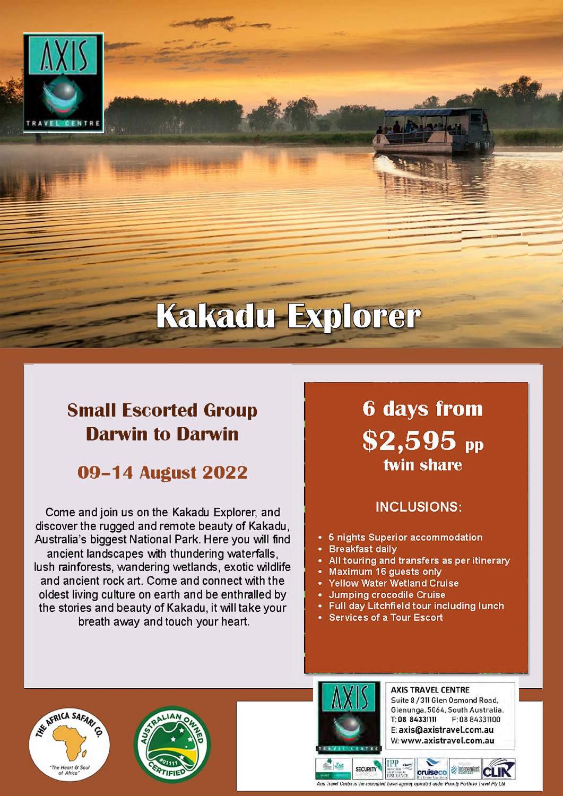

# **Kakadu Explorer**

## **Small Escorted Group Darwin to Darwin**

## **09-14 August 2022**

Come and join us on the Kakadu Explorer, and discover the rugged and remote beauty of Kakadu. Australia's biggest National Park. Here you will find ancient landscapes with thundering waterfalls. lush rainforests, wandering wetlands, exotic wildlife and ancient rock art. Come and connect with the oldest living culture on earth and be enthralled by the stories and beauty of Kakadu, it will take your breath away and touch your heart.

## **6 days from**  $$2,595$  pp twin share

### **INCLUSIONS:**

- 5 nights Superior accommodation
- **Breakfast daily**
- All touring and transfers as per itinerary
- Maximum 16 guests only
- **Yellow Water Wetland Cruise**
- **Jumping crocodile Cruise** ٠
- Full day Litchfield tour including lunch
- Services of a Tour Escort







**SECURITY** 

**AXIS TRAVEL CENTRE** Suite 8 / 311 Glen Osmond Road. Glenunga, 5064, South Australia. T: 08 84331111 F: 08 84331100 E: axis@axistravel.com.au W: www.axistravel.com.au

independent

cruiseco **MSIM WILMER**<br>INSURANCE redited travel agency operated under Priority Portf